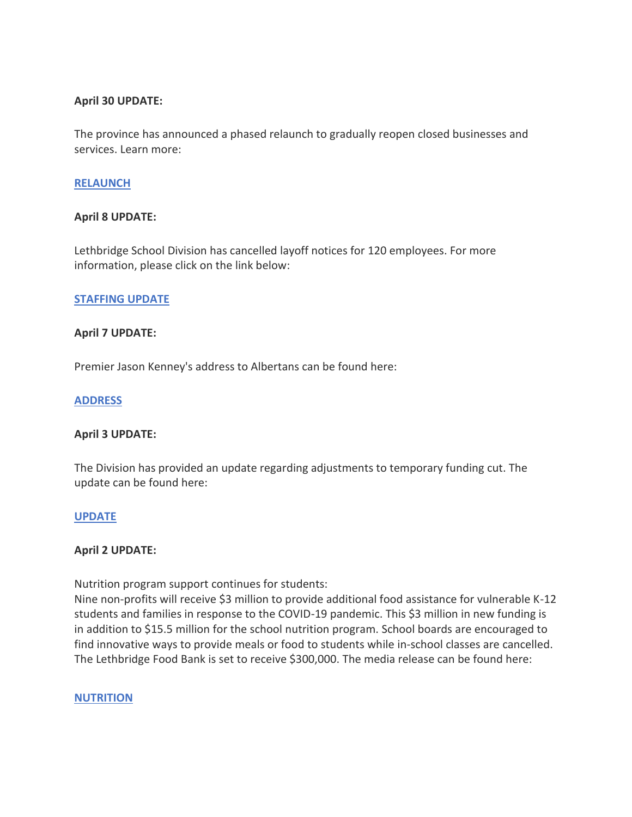# **April 30 UPDATE:**

The province has announced a phased relaunch to gradually reopen closed businesses and services. Learn more:

#### **[RELAUNCH](https://www.alberta.ca/release.cfm?xID=70217037B8E9C-C319-32CC-240D33487895E4F7)**

#### **April 8 UPDATE:**

Lethbridge School Division has cancelled layoff notices for 120 employees. For more information, please click on the link below:

#### **[STAFFING UPDATE](https://www.lethsd.ab.ca/our-district/news/post/division-cancelling-layoff-notices-for-120-employees)**

#### **April 7 UPDATE:**

Premier Jason Kenney's address to Albertans can be found here:

#### **[ADDRESS](https://www.alberta.ca/release.cfm?xID=7003168647E46-E91D-4945-E9517ABC712B807E)**

#### **April 3 UPDATE:**

The Division has provided an update regarding adjustments to temporary funding cut. The update can be found here:

#### **[UPDATE](https://www.lethsd.ab.ca/our-district/news/post/division-provides-updates-regarding-adjustments-to-temporary-funding-cut)**

#### **April 2 UPDATE:**

Nutrition program support continues for students:

Nine non-profits will receive \$3 million to provide additional food assistance for vulnerable K-12 students and families in response to the COVID-19 pandemic. This \$3 million in new funding is in addition to \$15.5 million for the school nutrition program. School boards are encouraged to find innovative ways to provide meals or food to students while in-school classes are cancelled. The Lethbridge Food Bank is set to receive \$300,000. The media release can be found here:

#### **[NUTRITION](https://www.alberta.ca/release.cfm?xID=69985583EED83-0C75-4535-C73FD796C40C1802)**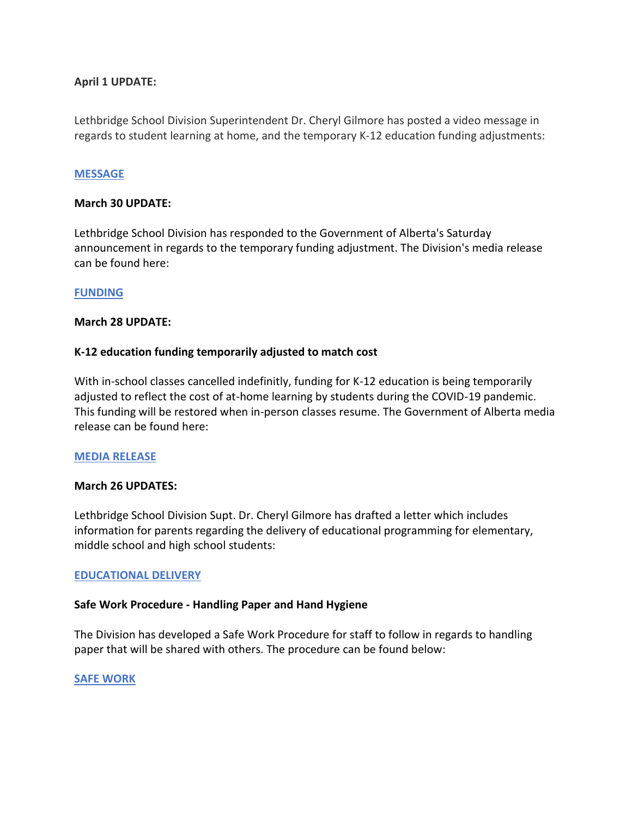# **April 1 UPDATE:**

Lethbridge School Division Superintendent Dr. Cheryl Gilmore has posted a video message in regards to student learning at home, and the temporary K-12 education funding adjustments:

# **[MESSAGE](https://www.lethsd.ab.ca/our-district/news/post/message-from-lethbridge-school-division-supt-dr-cheryl-gilmore)**

#### **March 30 UPDATE:**

Lethbridge School Division has responded to the Government of Alberta's Saturday announcement in regards to the temporary funding adjustment. The Division's media release can be found here:

# **[FUNDING](https://www.lethsd.ab.ca/our-district/news/post/lethbridge-school-division-responds-to-government-funding-adjustment)**

# **March 28 UPDATE:**

# **K-12 education funding temporarily adjusted to match cost**

With in-school classes cancelled indefinitly, funding for K-12 education is being temporarily adjusted to reflect the cost of at-home learning by students during the COVID-19 pandemic. This funding will be restored when in-person classes resume. The Government of Alberta media release can be found here:

#### **[MEDIA RELEASE](https://www.alberta.ca/release.cfm?xID=699465898F7E9-EA93-B067-439512D7916A21C2)**

#### **March 26 UPDATES:**

Lethbridge School Division Supt. Dr. Cheryl Gilmore has drafted a letter which includes information for parents regarding the delivery of educational programming for elementary, middle school and high school students:

#### **[EDUCATIONAL DELIVERY](http://www.lethsd.ab.ca/download/242911)**

#### **Safe Work Procedure - Handling Paper and Hand Hygiene**

The Division has developed a Safe Work Procedure for staff to follow in regards to handling paper that will be shared with others. The procedure can be found below:

#### **[SAFE WORK](http://www.lethsd.ab.ca/download/243022)**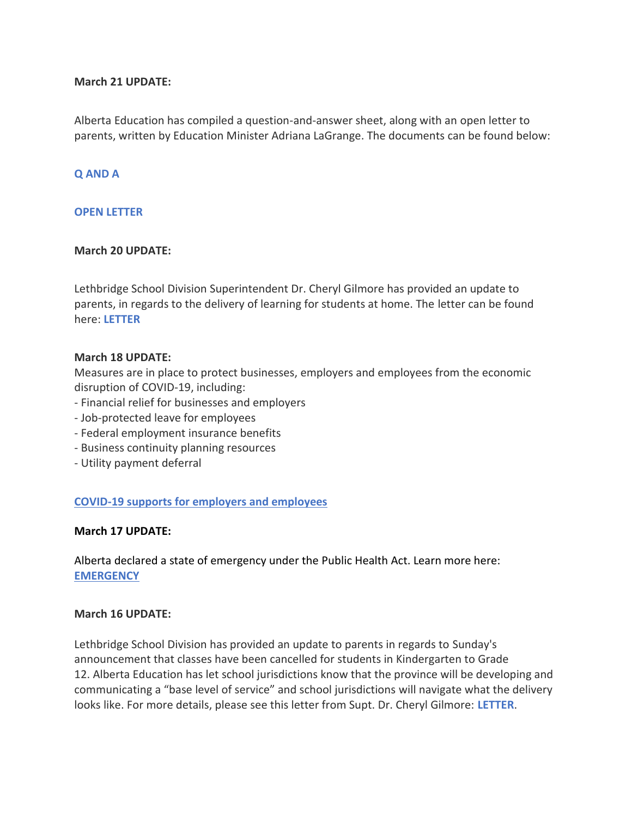# **March 21 UPDATE:**

Alberta Education has compiled a question-and-answer sheet, along with an open letter to parents, written by Education Minister Adriana LaGrange. The documents can be found below:

# **[Q AND A](http://www.lethsd.ab.ca/download/241426)**

# **[OPEN LETTER](http://www.lethsd.ab.ca/download/241423)**

# **March 20 UPDATE:**

Lethbridge School Division Superintendent Dr. Cheryl Gilmore has provided an update to parents, in regards to the delivery of learning for students at home. The letter can be found here: **[LETTER](http://www.lethsd.ab.ca/download/241039)**

# **March 18 UPDATE:**

Measures are in place to protect businesses, employers and employees from the economic disruption of COVID-19, including:

- Financial relief for businesses and employers
- Job-protected leave for employees
- Federal employment insurance benefits
- Business continuity planning resources
- Utility payment deferral

#### **[COVID-19 supports for employers and employees](https://www.alberta.ca/coronavirus-info-for-albertans.aspx)**

#### **March 17 UPDATE:**

Alberta declared a state of emergency under the Public Health Act. Learn more here: **[EMERGENCY](https://www.alberta.ca/release.cfm?xID=69828242A5FFC-D75A-C83E-690D8028C0C4E09F)**

#### **March 16 UPDATE:**

Lethbridge School Division has provided an update to parents in regards to Sunday's announcement that classes have been cancelled for students in Kindergarten to Grade 12. Alberta Education has let school jurisdictions know that the province will be developing and communicating a "base level of service" and school jurisdictions will navigate what the delivery looks like. For more details, please see this letter from Supt. Dr. Cheryl Gilmore: **[LETTER](http://www.lethsd.ab.ca/download/239562)**.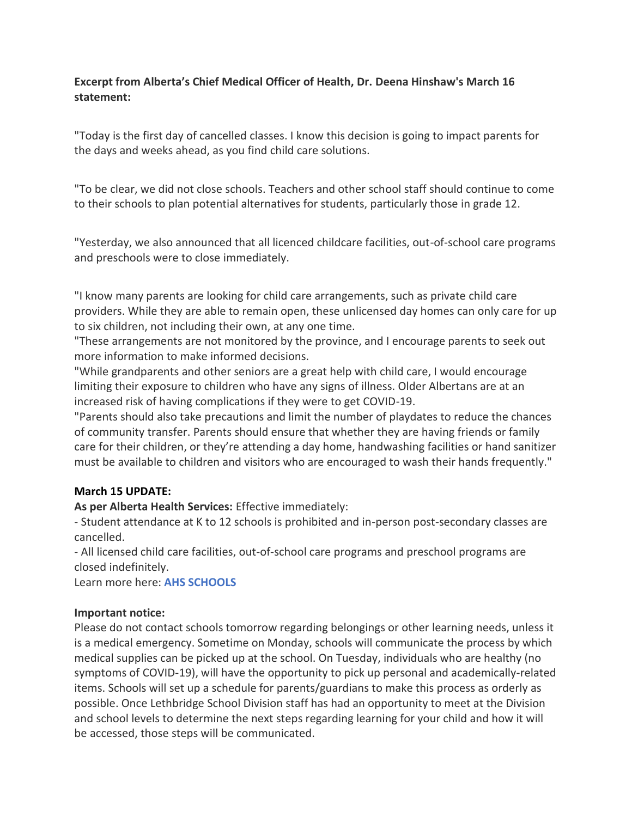# **Excerpt from Alberta's Chief Medical Officer of Health, Dr. Deena Hinshaw's March 16 statement:**

"Today is the first day of cancelled classes. I know this decision is going to impact parents for the days and weeks ahead, as you find child care solutions.

"To be clear, we did not close schools. Teachers and other school staff should continue to come to their schools to plan potential alternatives for students, particularly those in grade 12.

"Yesterday, we also announced that all licenced childcare facilities, out-of-school care programs and preschools were to close immediately.

"I know many parents are looking for child care arrangements, such as private child care providers. While they are able to remain open, these unlicensed day homes can only care for up to six children, not including their own, at any one time.

"These arrangements are not monitored by the province, and I encourage parents to seek out more information to make informed decisions.

"While grandparents and other seniors are a great help with child care, I would encourage limiting their exposure to children who have any signs of illness. Older Albertans are at an increased risk of having complications if they were to get COVID-19.

"Parents should also take precautions and limit the number of playdates to reduce the chances of community transfer. Parents should ensure that whether they are having friends or family care for their children, or they're attending a day home, handwashing facilities or hand sanitizer must be available to children and visitors who are encouraged to wash their hands frequently."

# **March 15 UPDATE:**

**As per Alberta Health Services:** Effective immediately:

- Student attendance at K to 12 schools is prohibited and in-person post-secondary classes are cancelled.

- All licensed child care facilities, out-of-school care programs and preschool programs are closed indefinitely.

Learn more here: **[AHS SCHOOLS](https://www.alberta.ca/coronavirus-info-for-albertans.aspx)**

# **Important notice:**

Please do not contact schools tomorrow regarding belongings or other learning needs, unless it is a medical emergency. Sometime on Monday, schools will communicate the process by which medical supplies can be picked up at the school. On Tuesday, individuals who are healthy (no symptoms of COVID-19), will have the opportunity to pick up personal and academically-related items. Schools will set up a schedule for parents/guardians to make this process as orderly as possible. Once Lethbridge School Division staff has had an opportunity to meet at the Division and school levels to determine the next steps regarding learning for your child and how it will be accessed, those steps will be communicated.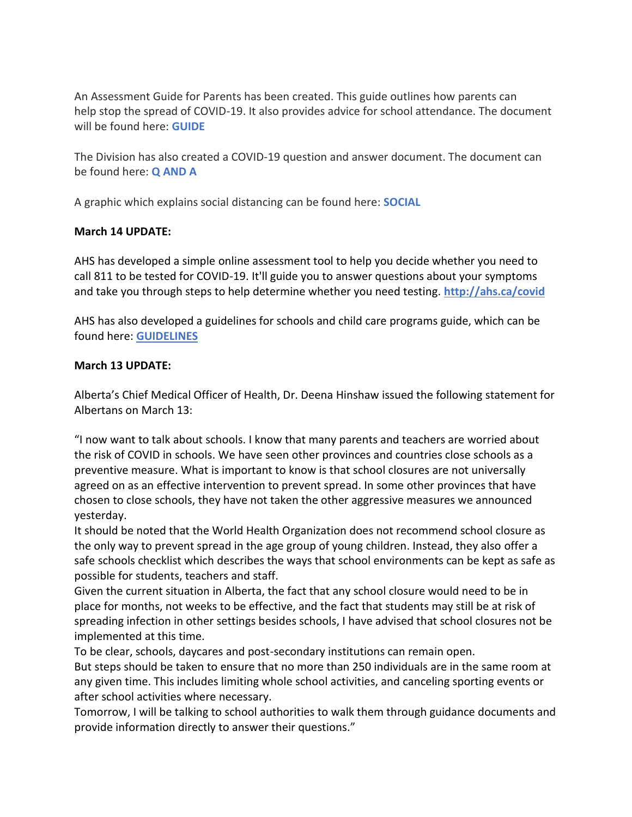An Assessment Guide for Parents has been created. This guide outlines how parents can help stop the spread of COVID-19. It also provides advice for school attendance. The document will be found here: **[GUIDE](http://www.lethsd.ab.ca/download/239096)**

The Division has also created a COVID-19 question and answer document. The document can be found here: **[Q AND A](http://www.lethsd.ab.ca/download/239136)**

A graphic which explains social distancing can be found here: **[SOCIAL](http://www.lethsd.ab.ca/download/239176)**

# **March 14 UPDATE:**

AHS has developed a simple online assessment tool to help you decide whether you need to call 811 to be tested for COVID-19. It'll guide you to answer questions about your symptoms and take you through steps to help determine whether you need testing. **[http://ahs.ca/covid](https://t.co/BdqfLt1Gu2?amp=1)**

AHS has also developed a guidelines for schools and child care programs guide, which can be found here: **[GUIDELINES](https://www.alberta.ca/assets/documents/covid19-alberta-guidance-for-schools-and-child-care-programs.pdf)**

# **March 13 UPDATE:**

Alberta's Chief Medical Officer of Health, Dr. Deena Hinshaw issued the following statement for Albertans on March 13:

"I now want to talk about schools. I know that many parents and teachers are worried about the risk of COVID in schools. We have seen other provinces and countries close schools as a preventive measure. What is important to know is that school closures are not universally agreed on as an effective intervention to prevent spread. In some other provinces that have chosen to close schools, they have not taken the other aggressive measures we announced yesterday.

It should be noted that the World Health Organization does not recommend school closure as the only way to prevent spread in the age group of young children. Instead, they also offer a safe schools checklist which describes the ways that school environments can be kept as safe as possible for students, teachers and staff.

Given the current situation in Alberta, the fact that any school closure would need to be in place for months, not weeks to be effective, and the fact that students may still be at risk of spreading infection in other settings besides schools, I have advised that school closures not be implemented at this time.

To be clear, schools, daycares and post-secondary institutions can remain open. But steps should be taken to ensure that no more than 250 individuals are in the same room at any given time. This includes limiting whole school activities, and canceling sporting events or after school activities where necessary.

Tomorrow, I will be talking to school authorities to walk them through guidance documents and provide information directly to answer their questions."